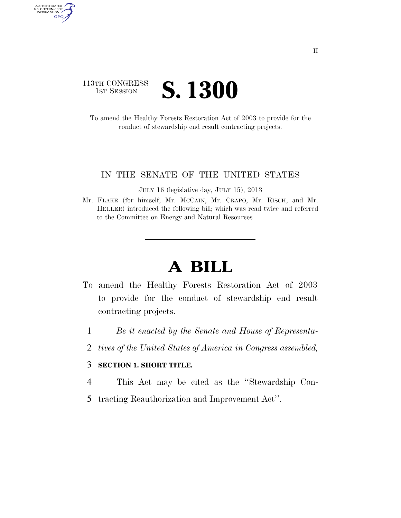## 113TH CONGRESS **IST SESSION S. 1300**

AUTHENTICATED<br>U.S. GOVERNMENT<br>INFORMATION GPO

> To amend the Healthy Forests Restoration Act of 2003 to provide for the conduct of stewardship end result contracting projects.

## IN THE SENATE OF THE UNITED STATES

JULY 16 (legislative day, JULY 15), 2013

Mr. FLAKE (for himself, Mr. MCCAIN, Mr. CRAPO, Mr. RISCH, and Mr. HELLER) introduced the following bill; which was read twice and referred to the Committee on Energy and Natural Resources

## **A BILL**

- To amend the Healthy Forests Restoration Act of 2003 to provide for the conduct of stewardship end result contracting projects.
	- 1 *Be it enacted by the Senate and House of Representa-*
	- 2 *tives of the United States of America in Congress assembled,*

## 3 **SECTION 1. SHORT TITLE.**

- 4 This Act may be cited as the ''Stewardship Con-
- 5 tracting Reauthorization and Improvement Act''.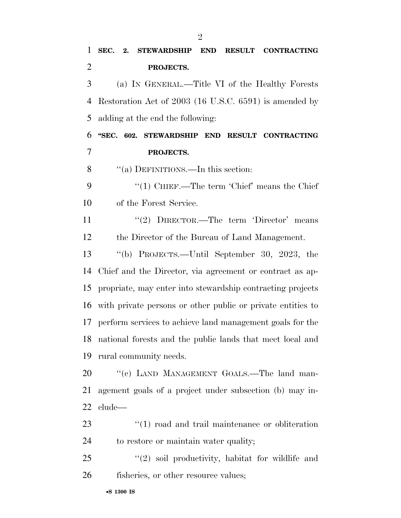| $\mathbf{1}$ | SEC. 2. STEWARDSHIP END RESULT CONTRACTING               |  |
|--------------|----------------------------------------------------------|--|
| 2            | PROJECTS.                                                |  |
| 3            | (a) IN GENERAL.—Title VI of the Healthy Forests          |  |
|              | 4 Restoration Act of 2003 (16 U.S.C. 6591) is amended by |  |
|              | 5 adding at the end the following:                       |  |
| 6            | "SEC. 602. STEWARDSHIP END RESULT CONTRACTING            |  |
| 7            | PROJECTS.                                                |  |
| 8            | "(a) DEFINITIONS.—In this section:                       |  |
| 9            | "(1) CHIEF.—The term 'Chief' means the Chief             |  |
| 10           | of the Forest Service.                                   |  |
| 11           | $''(2)$ DIRECTOR.—The term 'Director' means              |  |
|              |                                                          |  |

the Director of the Bureau of Land Management.

 ''(b) PROJECTS.—Until September 30, 2023, the Chief and the Director, via agreement or contract as ap- propriate, may enter into stewardship contracting projects with private persons or other public or private entities to perform services to achieve land management goals for the national forests and the public lands that meet local and rural community needs.

20 "(c) LAND MANAGEMENT GOALS.—The land man- agement goals of a project under subsection (b) may in-clude—

23 ''(1) road and trail maintenance or obliteration to restore or maintain water quality;

25 "(2) soil productivity, habitat for wildlife and 26 fisheries, or other resource values;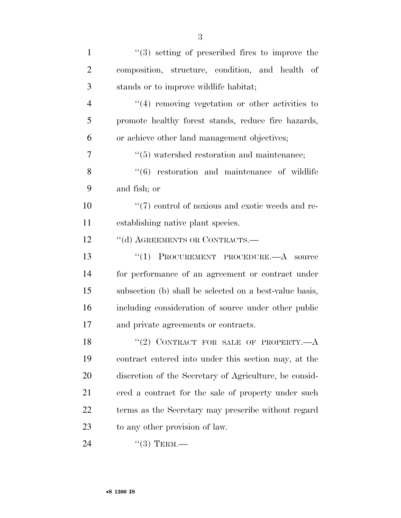| $\mathbf{1}$   | $\lq(3)$ setting of prescribed fires to improve the          |
|----------------|--------------------------------------------------------------|
| $\overline{2}$ | composition, structure, condition, and health of             |
| 3              | stands or to improve wildlife habitat;                       |
| $\overline{4}$ | $\cdot$ (4) removing vegetation or other activities to       |
| 5              | promote healthy forest stands, reduce fire hazards,          |
| 6              | or achieve other land management objectives;                 |
| $\overline{7}$ | $\cdot\cdot$ (5) watershed restoration and maintenance;      |
| 8              | $\cdot\cdot\cdot(6)$ restoration and maintenance of wildlife |
| 9              | and fish; or                                                 |
| 10             | $\lq(7)$ control of noxious and exotic weeds and re-         |
| 11             | establishing native plant species.                           |
| 12             | "(d) AGREEMENTS OR CONTRACTS.-                               |
| 13             | "(1) PROCUREMENT PROCEDURE.— $A$ source                      |
| 14             | for performance of an agreement or contract under            |
| 15             | subsection (b) shall be selected on a best-value basis,      |
| 16             | including consideration of source under other public         |
| 17             | and private agreements or contracts.                         |
| 18             | $``(2)$ CONTRACT FOR SALE OF PROPERTY.— $A$                  |
| 19             | contract entered into under this section may, at the         |
| <b>20</b>      | discretion of the Secretary of Agriculture, be consid-       |
| 21             | ered a contract for the sale of property under such          |
| 22             | terms as the Secretary may prescribe without regard          |
| 23             | to any other provision of law.                               |
| 24             | $``(3)$ TERM.—                                               |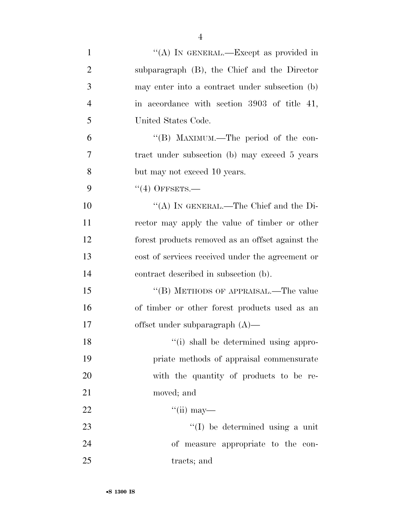| $\mathbf{1}$   | "(A) IN GENERAL.—Except as provided in           |
|----------------|--------------------------------------------------|
| $\overline{2}$ | subparagraph (B), the Chief and the Director     |
| 3              | may enter into a contract under subsection (b)   |
| $\overline{4}$ | in accordance with section 3903 of title 41,     |
| 5              | United States Code.                              |
| 6              | "(B) MAXIMUM.—The period of the con-             |
| $\overline{7}$ | tract under subsection (b) may exceed 5 years    |
| 8              | but may not exceed 10 years.                     |
| 9              | $(4)$ OFFSETS.—                                  |
| 10             | "(A) IN GENERAL.—The Chief and the Di-           |
| 11             | rector may apply the value of timber or other    |
| 12             | forest products removed as an offset against the |
| 13             | cost of services received under the agreement or |
| 14             | contract described in subsection (b).            |
| 15             | "(B) METHODS OF APPRAISAL.—The value             |
| 16             | of timber or other forest products used as an    |
| 17             | offset under subparagraph $(A)$ —                |
| 18             | "(i) shall be determined using appro-            |
| 19             | priate methods of appraisal commensurate         |
| 20             | with the quantity of products to be re-          |
| 21             | moved; and                                       |
| 22             | $\lq\lq$ (ii) may—                               |
| 23             | $\lq\lq$ (I) be determined using a unit          |
| 24             | of measure appropriate to the con-               |
| 25             | tracts; and                                      |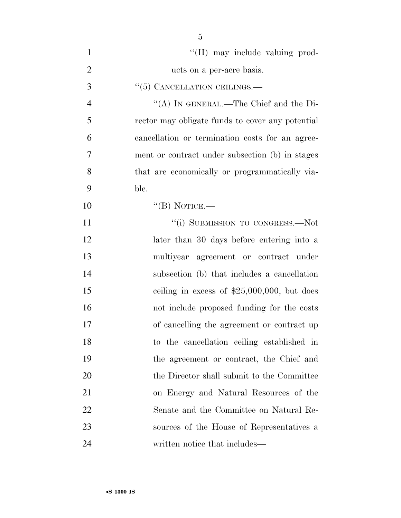| $\mathbf{1}$   | "(II) may include valuing prod-                  |
|----------------|--------------------------------------------------|
| $\overline{2}$ | ucts on a per-acre basis.                        |
| 3              | $\lq(5)$ CANCELLATION CEILINGS.—                 |
| $\overline{4}$ | "(A) IN GENERAL.—The Chief and the Di-           |
| 5              | rector may obligate funds to cover any potential |
| 6              | cancellation or termination costs for an agree-  |
| 7              | ment or contract under subsection (b) in stages  |
| 8              | that are economically or programmatically via-   |
| 9              | ble.                                             |
| 10             | "(B) NOTICE.—                                    |
| 11             | "(i) SUBMISSION TO CONGRESS.—Not                 |
| 12             | later than 30 days before entering into a        |
| 13             | multiyear agreement or contract under            |
| 14             | subsection (b) that includes a cancellation      |
| 15             | ceiling in excess of $$25,000,000$ , but does    |
| 16             | not include proposed funding for the costs       |
| 17             | of cancelling the agreement or contract up       |
| 18             | to the cancellation ceiling established in       |
| 19             | the agreement or contract, the Chief and         |
| 20             | the Director shall submit to the Committee       |
| 21             | on Energy and Natural Resources of the           |
| 22             | Senate and the Committee on Natural Re-          |
| 23             | sources of the House of Representatives a        |
| 24             | written notice that includes—                    |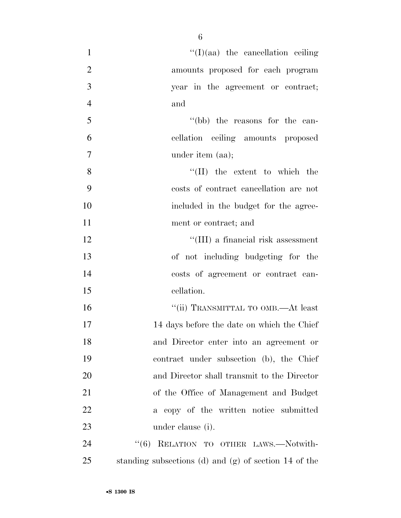| $\mathbf{1}$   | $\lq\lq$ (I)(aa) the cancellation ceiling             |
|----------------|-------------------------------------------------------|
| $\overline{2}$ | amounts proposed for each program                     |
| 3              | year in the agreement or contract;                    |
| $\overline{4}$ | and                                                   |
| 5              | "(bb) the reasons for the can-                        |
| 6              | cellation ceiling amounts proposed                    |
| $\overline{7}$ | under item (aa);                                      |
| 8              | $\lq\lq$ (II) the extent to which the                 |
| 9              | costs of contract cancellation are not                |
| 10             | included in the budget for the agree-                 |
| 11             | ment or contract; and                                 |
| 12             | "(III) a financial risk assessment                    |
| 13             | of not including budgeting for the                    |
| 14             | costs of agreement or contract can-                   |
| 15             | cellation.                                            |
| 16             | "(ii) TRANSMITTAL TO OMB.—At least                    |
| 17             | 14 days before the date on which the Chief            |
| 18             | and Director enter into an agreement or               |
| 19             | contract under subsection (b), the Chief              |
| 20             | and Director shall transmit to the Director           |
| 21             | of the Office of Management and Budget                |
| 22             | a copy of the written notice submitted                |
| 23             | under clause (i).                                     |
| 24             | "(6) RELATION TO OTHER LAWS.-Notwith-                 |
| 25             | standing subsections (d) and (g) of section 14 of the |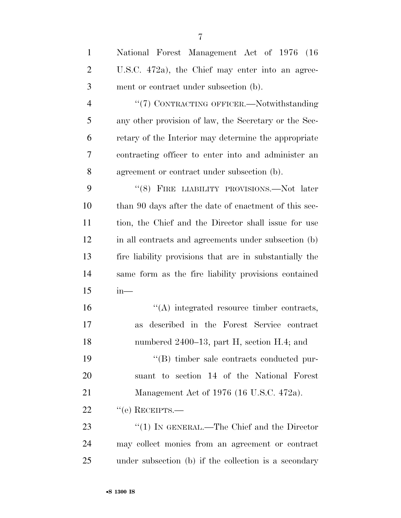| $\mathbf{1}$   | National Forest Management Act of 1976 (16)             |
|----------------|---------------------------------------------------------|
| $\overline{2}$ | U.S.C. 472a), the Chief may enter into an agree-        |
| 3              | ment or contract under subsection (b).                  |
| $\overline{4}$ | "(7) CONTRACTING OFFICER.-Notwithstanding               |
| 5              | any other provision of law, the Secretary or the Sec-   |
| 6              | retary of the Interior may determine the appropriate    |
| 7              | contracting officer to enter into and administer an     |
| 8              | agreement or contract under subsection (b).             |
| 9              | "(8) FIRE LIABILITY PROVISIONS.—Not later               |
| 10             | than 90 days after the date of enactment of this sec-   |
| 11             | tion, the Chief and the Director shall issue for use    |
| 12             | in all contracts and agreements under subsection (b)    |
| 13             | fire liability provisions that are in substantially the |
| 14             | same form as the fire liability provisions contained    |
| 15             | $in-$                                                   |
| 16             | $\lq\lq$ integrated resource timber contracts,          |
| 17             | described in the Forest Service contract<br>as          |
| 18             | numbered 2400–13, part H, section H.4; and              |
| 19             | "(B) timber sale contracts conducted pur-               |
| 20             | suant to section 14 of the National Forest              |
| 21             | Management Act of 1976 (16 U.S.C. 472a).                |
| 22             | $``$ (e) RECEIPTS.—                                     |
| 23             | " $(1)$ IN GENERAL.—The Chief and the Director          |
| 24             | may collect monies from an agreement or contract        |
| 25             | under subsection (b) if the collection is a secondary   |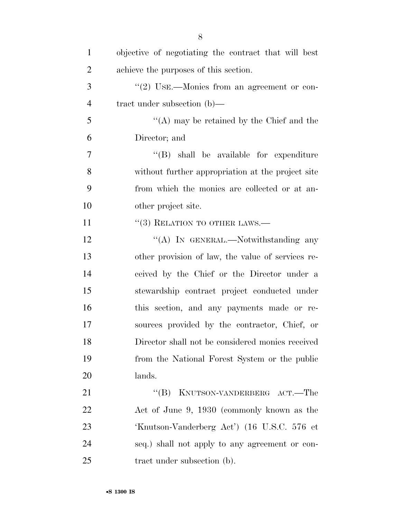| $\mathbf{1}$   | objective of negotiating the contract that will best |
|----------------|------------------------------------------------------|
| $\overline{2}$ | achieve the purposes of this section.                |
| 3              | $\lq(2)$ USE.—Monies from an agreement or con-       |
| $\overline{4}$ | tract under subsection $(b)$ —                       |
| 5              | "(A) may be retained by the Chief and the            |
| 6              | Director; and                                        |
| $\overline{7}$ | $\lq\lq$ (B) shall be available for expenditure      |
| 8              | without further appropriation at the project site    |
| 9              | from which the monies are collected or at an-        |
| 10             | other project site.                                  |
| 11             | $\cdot$ (3) RELATION TO OTHER LAWS.—                 |
| 12             | "(A) IN GENERAL.—Notwithstanding any                 |
| 13             | other provision of law, the value of services re-    |
| 14             | ceived by the Chief or the Director under a          |
| 15             | stewardship contract project conducted under         |
| 16             | this section, and any payments made or re-           |
| 17             | sources provided by the contractor, Chief, or        |
| 18             | Director shall not be considered monies received     |
| 19             | from the National Forest System or the public        |
| 20             | lands.                                               |
| 21             | KNUTSON-VANDERBERG ACT.—The<br>$\lq\lq (B)$          |
| 22             | Act of June 9, 1930 (commonly known as the           |
| 23             | 'Knutson-Vanderberg Act') (16 U.S.C. 576 et          |
| 24             | seq.) shall not apply to any agreement or con-       |
| 25             | tract under subsection (b).                          |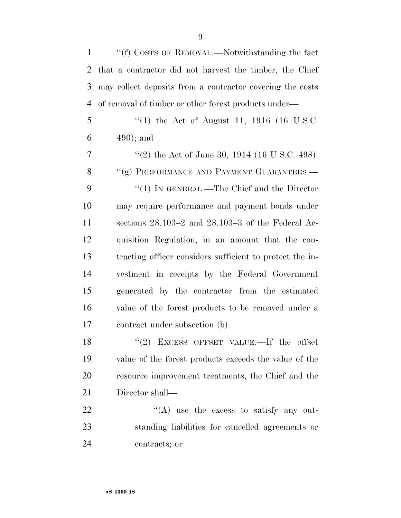| $\mathbf{1}$   | "(f) COSTS OF REMOVAL.—Notwithstanding the fact           |
|----------------|-----------------------------------------------------------|
| $\overline{2}$ | that a contractor did not harvest the timber, the Chief   |
| 3              | may collect deposits from a contractor covering the costs |
| 4              | of removal of timber or other forest products under—      |
| 5              | "(1) the Act of August 11, 1916 (16 U.S.C.                |
| 6              | $(490)$ ; and                                             |
| 7              | "(2) the Act of June 30, 1914 (16 U.S.C. 498).            |
| 8              | "(g) PERFORMANCE AND PAYMENT GUARANTEES.-                 |
| 9              | " $(1)$ IN GENERAL.—The Chief and the Director            |
| 10             | may require performance and payment bonds under           |
| 11             | sections $28.103-2$ and $28.103-3$ of the Federal Ac-     |
| 12             | quisition Regulation, in an amount that the con-          |
| 13             | tracting officer considers sufficient to protect the in-  |
| 14             | vestment in receipts by the Federal Government            |
| 15             | generated by the contractor from the estimated            |
| 16             | value of the forest products to be removed under a        |
| 17             | contract under subsection (b).                            |
| 18             | $(2)$ EXCESS OFFSET VALUE.—If the offset                  |
| 19             | value of the forest products exceeds the value of the     |
| 20             | resource improvement treatments, the Chief and the        |
| 21             | Director shall—                                           |
| 22             | $\lq\lq(A)$ use the excess to satisfy any out-            |
| 23             | standing liabilities for cancelled agreements or          |
| 24             | contracts; or                                             |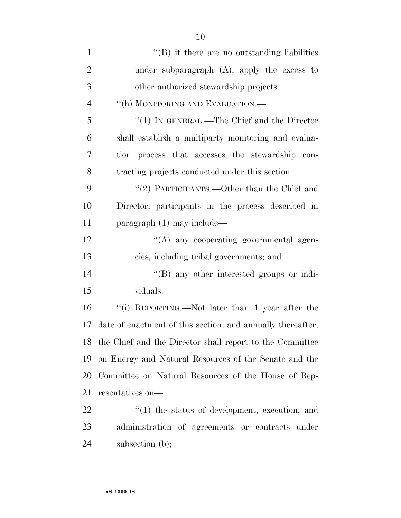| $\mathbf{1}$   | $\lq\lq$ ) if there are no outstanding liabilities          |
|----------------|-------------------------------------------------------------|
| $\overline{2}$ | under subparagraph $(A)$ , apply the excess to              |
| 3              | other authorized stewardship projects.                      |
| $\overline{4}$ | "(h) MONITORING AND EVALUATION.—                            |
| 5              | " $(1)$ IN GENERAL.—The Chief and the Director              |
| 6              | shall establish a multiparty monitoring and evalua-         |
| 7              | tion process that accesses the stewardship con-             |
| 8              | tracting projects conducted under this section.             |
| 9              | "(2) PARTICIPANTS.—Other than the Chief and                 |
| 10             | Director, participants in the process described in          |
| 11             | $\frac{1}{2}$ paragraph (1) may include—                    |
| 12             | "(A) any cooperating governmental agen-                     |
| 13             | cies, including tribal governments; and                     |
| 14             | $\lq\lq (B)$ any other interested groups or indi-           |
| 15             | viduals.                                                    |
| 16             | "(i) REPORTING.—Not later than 1 year after the             |
| 17             | date of enactment of this section, and annually thereafter, |
|                | 18 the Chief and the Director shall report to the Committee |
| 19             | on Energy and Natural Resources of the Senate and the       |
| 20             | Committee on Natural Resources of the House of Rep-         |
| 21             | resentatives on—                                            |
| 22             | $\cdot$ (1) the status of development, execution, and       |
| 23             | administration of agreements or contracts under             |
| 24             | subsection $(b)$ ;                                          |